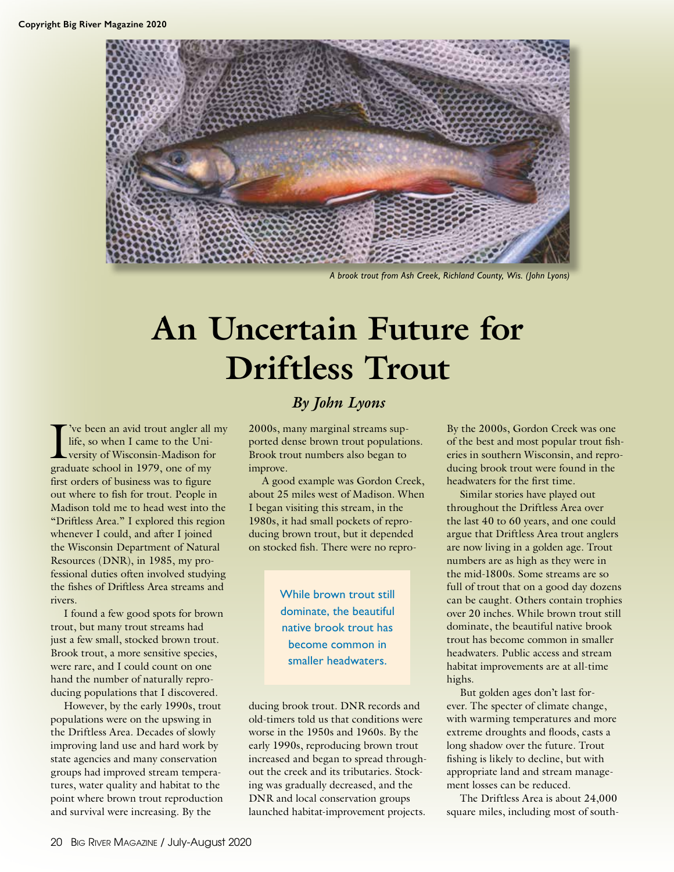

*A brook trout from Ash Creek, Richland County, Wis. (John Lyons)*

# **An Uncertain Future for Driftless Trout**

I've been an avid trout angler all<br>life, so when I came to the Uni-<br>versity of Wisconsin-Madison for<br>graduate school in 1979, one of my 've been an avid trout angler all my life, so when I came to the University of Wisconsin-Madison for first orders of business was to figure out where to fish for trout. People in Madison told me to head west into the "Driftless Area." I explored this region whenever I could, and after I joined the Wisconsin Department of Natural Resources (DNR), in 1985, my professional duties often involved studying the fishes of Driftless Area streams and rivers.

I found a few good spots for brown trout, but many trout streams had just a few small, stocked brown trout. Brook trout, a more sensitive species, were rare, and I could count on one hand the number of naturally reproducing populations that I discovered.

However, by the early 1990s, trout populations were on the upswing in the Driftless Area. Decades of slowly improving land use and hard work by state agencies and many conservation groups had improved stream temperatures, water quality and habitat to the point where brown trout reproduction and survival were increasing. By the

# *By John Lyons*

2000s, many marginal streams supported dense brown trout populations. Brook trout numbers also began to improve.

A good example was Gordon Creek, about 25 miles west of Madison. When I began visiting this stream, in the 1980s, it had small pockets of reproducing brown trout, but it depended on stocked fish. There were no repro-

> While brown trout still dominate, the beautiful native brook trout has become common in smaller headwaters.

ducing brook trout. DNR records and old-timers told us that conditions were worse in the 1950s and 1960s. By the early 1990s, reproducing brown trout increased and began to spread throughout the creek and its tributaries. Stocking was gradually decreased, and the DNR and local conservation groups launched habitat-improvement projects.

By the 2000s, Gordon Creek was one of the best and most popular trout fisheries in southern Wisconsin, and reproducing brook trout were found in the headwaters for the first time.

Similar stories have played out throughout the Driftless Area over the last 40 to 60 years, and one could argue that Driftless Area trout anglers are now living in a golden age. Trout numbers are as high as they were in the mid-1800s. Some streams are so full of trout that on a good day dozens can be caught. Others contain trophies over 20 inches. While brown trout still dominate, the beautiful native brook trout has become common in smaller headwaters. Public access and stream habitat improvements are at all-time highs.

But golden ages don't last forever. The specter of climate change, with warming temperatures and more extreme droughts and floods, casts a long shadow over the future. Trout fishing is likely to decline, but with appropriate land and stream management losses can be reduced.

The Driftless Area is about 24,000 square miles, including most of south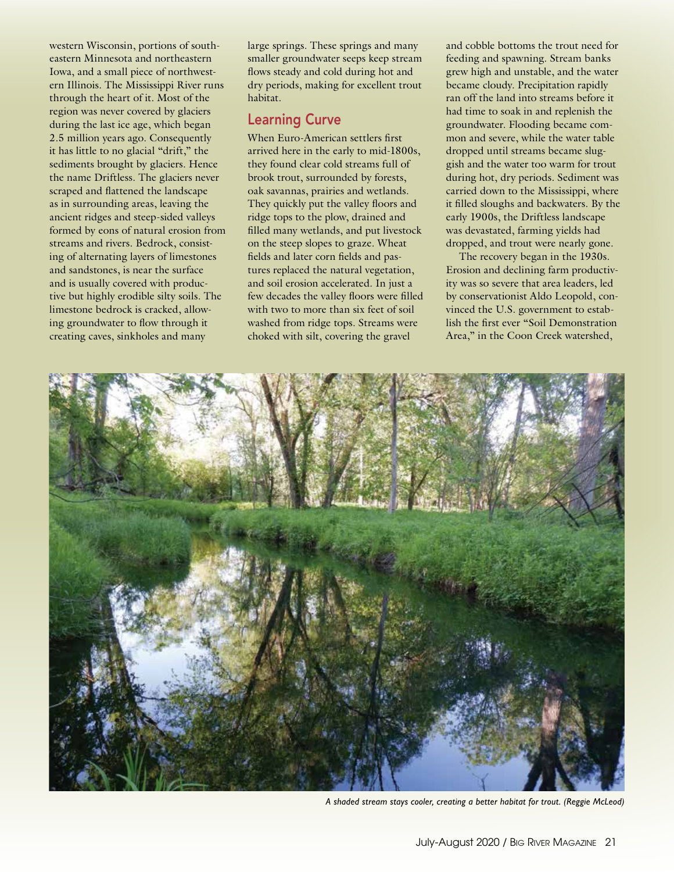western Wisconsin, portions of southeastern Minnesota and northeastern Iowa, and a small piece of northwestern Illinois. The Mississippi River runs through the heart of it. Most of the region was never covered by glaciers during the last ice age, which began 2.5 million years ago. Consequently it has little to no glacial "drift," the sediments brought by glaciers. Hence the name Driftless. The glaciers never scraped and flattened the landscape as in surrounding areas, leaving the ancient ridges and steep-sided valleys formed by eons of natural erosion from streams and rivers. Bedrock, consisting of alternating layers of limestones and sandstones, is near the surface and is usually covered with productive but highly erodible silty soils. The limestone bedrock is cracked, allowing groundwater to flow through it creating caves, sinkholes and many

large springs. These springs and many smaller groundwater seeps keep stream flows steady and cold during hot and dry periods, making for excellent trout habitat.

### Learning Curve

When Euro-American settlers first arrived here in the early to mid-1800s, they found clear cold streams full of brook trout, surrounded by forests, oak savannas, prairies and wetlands. They quickly put the valley floors and ridge tops to the plow, drained and filled many wetlands, and put livestock on the steep slopes to graze. Wheat fields and later corn fields and pastures replaced the natural vegetation, and soil erosion accelerated. In just a few decades the valley floors were filled with two to more than six feet of soil washed from ridge tops. Streams were choked with silt, covering the gravel

and cobble bottoms the trout need for feeding and spawning. Stream banks grew high and unstable, and the water became cloudy. Precipitation rapidly ran off the land into streams before it had time to soak in and replenish the groundwater. Flooding became common and severe, while the water table dropped until streams became sluggish and the water too warm for trout during hot, dry periods. Sediment was carried down to the Mississippi, where it filled sloughs and backwaters. By the early 1900s, the Driftless landscape was devastated, farming yields had dropped, and trout were nearly gone.

The recovery began in the 1930s. Erosion and declining farm productivity was so severe that area leaders, led by conservationist Aldo Leopold, convinced the U.S. government to establish the first ever "Soil Demonstration Area," in the Coon Creek watershed,



*A shaded stream stays cooler, creating a better habitat for trout. (Reggie McLeod)*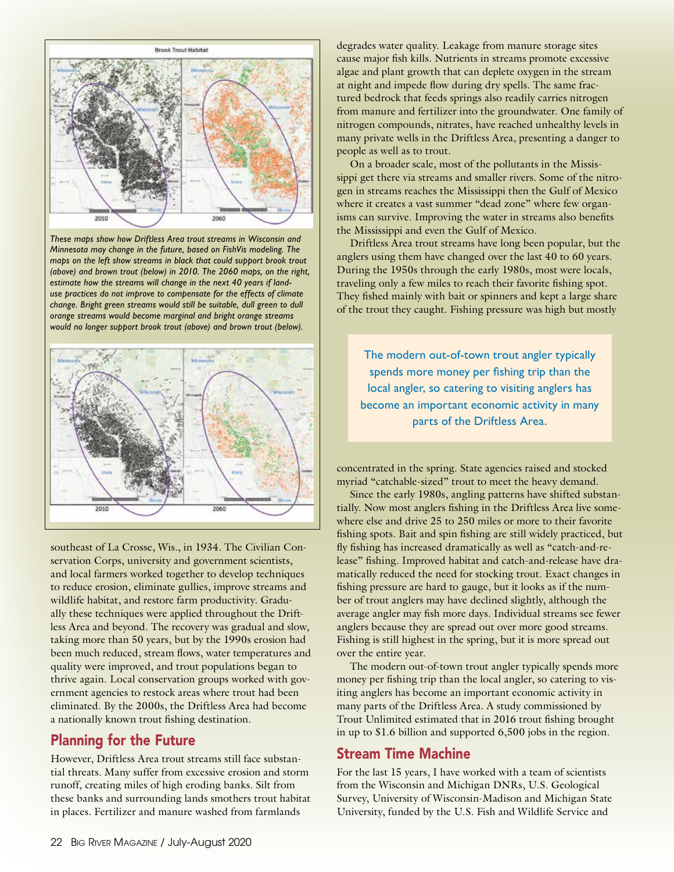

*These maps show how Driftless Area trout streams in Wisconsin and Minnesota may change in the future, based on FishVis modeling. The maps on the left show streams in black that could support brook trout (above) and brown trout (below) in 2010. The 2060 maps, on the right, estimate how the streams will change in the next 40 years if landuse practices do not improve to compensate for the effects of climate change. Bright green streams would still be suitable, dull green to dull orange streams would become marginal and bright orange streams would no longer support brook trout (above) and brown trout (below).*



southeast of La Crosse, Wis., in 1934. The Civilian Conservation Corps, university and government scientists, and local farmers worked together to develop techniques to reduce erosion, eliminate gullies, improve streams and wildlife habitat, and restore farm productivity. Gradually these techniques were applied throughout the Driftless Area and beyond. The recovery was gradual and slow, taking more than 50 years, but by the 1990s erosion had been much reduced, stream flows, water temperatures and quality were improved, and trout populations began to thrive again. Local conservation groups worked with government agencies to restock areas where trout had been eliminated. By the 2000s, the Driftless Area had become a nationally known trout fishing destination.

# Planning for the Future

However, Driftless Area trout streams still face substantial threats. Many suffer from excessive erosion and storm runoff, creating miles of high eroding banks. Silt from these banks and surrounding lands smothers trout habitat in places. Fertilizer and manure washed from farmlands

degrades water quality. Leakage from manure storage sites cause major fish kills. Nutrients in streams promote excessive algae and plant growth that can deplete oxygen in the stream at night and impede flow during dry spells. The same fractured bedrock that feeds springs also readily carries nitrogen from manure and fertilizer into the groundwater. One family of nitrogen compounds, nitrates, have reached unhealthy levels in many private wells in the Driftless Area, presenting a danger to people as well as to trout.

On a broader scale, most of the pollutants in the Mississippi get there via streams and smaller rivers. Some of the nitrogen in streams reaches the Mississippi then the Gulf of Mexico where it creates a vast summer "dead zone" where few organisms can survive. Improving the water in streams also benefits the Mississippi and even the Gulf of Mexico.

Driftless Area trout streams have long been popular, but the anglers using them have changed over the last 40 to 60 years. During the 1950s through the early 1980s, most were locals, traveling only a few miles to reach their favorite fishing spot. They fished mainly with bait or spinners and kept a large share of the trout they caught. Fishing pressure was high but mostly

The modern out-of-town trout angler typically spends more money per fishing trip than the local angler, so catering to visiting anglers has become an important economic activity in many parts of the Driftless Area.

concentrated in the spring. State agencies raised and stocked myriad "catchable-sized" trout to meet the heavy demand.

Since the early 1980s, angling patterns have shifted substantially. Now most anglers fishing in the Driftless Area live somewhere else and drive 25 to 250 miles or more to their favorite fishing spots. Bait and spin fishing are still widely practiced, but fly fishing has increased dramatically as well as "catch-and-release" fishing. Improved habitat and catch-and-release have dramatically reduced the need for stocking trout. Exact changes in fishing pressure are hard to gauge, but it looks as if the number of trout anglers may have declined slightly, although the average angler may fish more days. Individual streams see fewer anglers because they are spread out over more good streams. Fishing is still highest in the spring, but it is more spread out over the entire year.

The modern out-of-town trout angler typically spends more money per fishing trip than the local angler, so catering to visiting anglers has become an important economic activity in many parts of the Driftless Area. A study commissioned by Trout Unlimited estimated that in 2016 trout fishing brought in up to \$1.6 billion and supported 6,500 jobs in the region.

# Stream Time Machine

For the last 15 years, I have worked with a team of scientists from the Wisconsin and Michigan DNRs, U.S. Geological Survey, University of Wisconsin-Madison and Michigan State University, funded by the U.S. Fish and Wildlife Service and